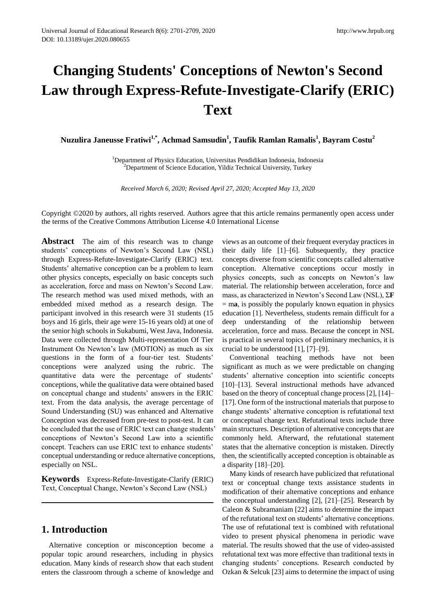# **Changing Students' Conceptions of Newton's Second Law through Express-Refute-Investigate-Clarify (ERIC) Text**

**Nuzulira Janeusse Fratiwi1,\* , Achmad Samsudin<sup>1</sup> , Taufik Ramlan Ramalis<sup>1</sup> , Bayram Costu<sup>2</sup>**

<sup>1</sup>Department of Physics Education, Universitas Pendidikan Indonesia, Indonesia  $2$ Department of Science Education, Yildiz Technical University, Turkey

*Received March 6, 2020; Revised April 27, 2020; Accepted May 13, 2020*

Copyright ©2020 by authors, all rights reserved. Authors agree that this article remains permanently open access under the terms of the Creative Commons Attribution License 4.0 International License

**Abstract** The aim of this research was to change students' conceptions of Newton's Second Law (NSL) through Express-Refute-Investigate-Clarify (ERIC) text. Students' alternative conception can be a problem to learn other physics concepts, especially on basic concepts such as acceleration, force and mass on Newton's Second Law. The research method was used mixed methods, with an embedded mixed method as a research design. The participant involved in this research were 31 students (15 boys and 16 girls, their age were 15-16 years old) at one of the senior high schools in Sukabumi, West Java, Indonesia. Data were collected through Multi-representation Of Tier Instrument On Newton's law (MOTION) as much as six questions in the form of a four-tier test. Students' conceptions were analyzed using the rubric. The quantitative data were the percentage of students' conceptions, while the qualitative data were obtained based on conceptual change and students' answers in the ERIC text. From the data analysis, the average percentage of Sound Understanding (SU) was enhanced and Alternative Conception was decreased from pre-test to post-test. It can be concluded that the use of ERIC text can change students' conceptions of Newton's Second Law into a scientific concept. Teachers can use ERIC text to enhance students' conceptual understanding or reduce alternative conceptions, especially on NSL.

**Keywords** Express-Refute-Investigate-Clarify (ERIC) Text, Conceptual Change, Newton's Second Law (NSL)

## **1. Introduction**

Alternative conception or misconception become a popular topic around researchers, including in physics education. Many kinds of research show that each student enters the classroom through a scheme of knowledge and

views as an outcome of their frequent everyday practices in their daily life [1]–[6]. Subsequently, they practice concepts diverse from scientific concepts called alternative conception. Alternative conceptions occur mostly in physics concepts, such as concepts on Newton's law material. The relationship between acceleration, force and mass, as characterized in Newton's Second Law (NSL), Σ**F** = m**a**, is possibly the popularly known equation in physics education [1]. Nevertheless, students remain difficult for a deep understanding of the relationship between acceleration, force and mass. Because the concept in NSL is practical in several topics of preliminary mechanics, it is crucial to be understood [1], [7]–[9].

Conventional teaching methods have not been significant as much as we were predictable on changing students' alternative conception into scientific concepts [10]–[13]. Several instructional methods have advanced based on the theory of conceptual change process [2], [14]– [17]. One form of the instructional materials that purpose to change students' alternative conception is refutational text or conceptual change text. Refutational texts include three main structures. Description of alternative concepts that are commonly held. Afterward, the refutational statement states that the alternative conception is mistaken. Directly then, the scientifically accepted conception is obtainable as a disparity [18]–[20].

Many kinds of research have publicized that refutational text or conceptual change texts assistance students in modification of their alternative conceptions and enhance the conceptual understanding [2], [21]–[25]. Research by Caleon & Subramaniam [22] aims to determine the impact of the refutational text on students' alternative conceptions. The use of refutational text is combined with refutational video to present physical phenomena in periodic wave material. The results showed that the use of video-assisted refutational text was more effective than traditional texts in changing students' conceptions. Research conducted by Ozkan & Selcuk [23] aims to determine the impact of using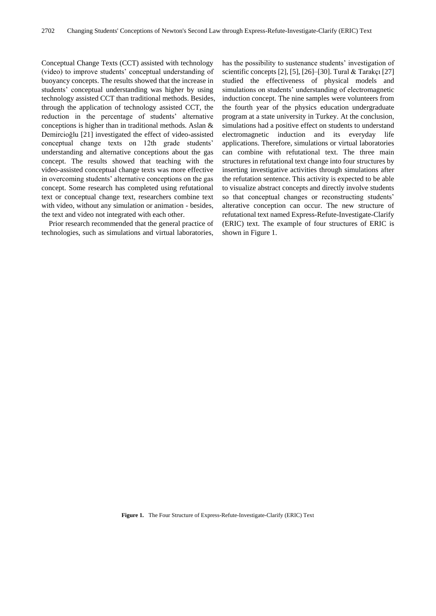Conceptual Change Texts (CCT) assisted with technology (video) to improve students' conceptual understanding of buoyancy concepts. The results showed that the increase in students' conceptual understanding was higher by using technology assisted CCT than traditional methods. Besides, through the application of technology assisted CCT, the reduction in the percentage of students' alternative conceptions is higher than in traditional methods. Aslan & Demircioğlu [21] investigated the effect of video-assisted conceptual change texts on 12th grade students' understanding and alternative conceptions about the gas concept. The results showed that teaching with the video-assisted conceptual change texts was more effective in overcoming students' alternative conceptions on the gas concept. Some research has completed using refutational text or conceptual change text, researchers combine text with video, without any simulation or animation - besides, the text and video not integrated with each other.

Prior research recommended that the general practice of technologies, such as simulations and virtual laboratories,

has the possibility to sustenance students' investigation of scientific concepts [2], [5], [26]–[30]. Tural & Tarakçı [27] studied the effectiveness of physical models and simulations on students' understanding of electromagnetic induction concept. The nine samples were volunteers from the fourth year of the physics education undergraduate program at a state university in Turkey. At the conclusion, simulations had a positive effect on students to understand electromagnetic induction and its everyday life applications. Therefore, simulations or virtual laboratories can combine with refutational text. The three main structures in refutational text change into four structures by inserting investigative activities through simulations after the refutation sentence. This activity is expected to be able to visualize abstract concepts and directly involve students so that conceptual changes or reconstructing students' alterative conception can occur. The new structure of refutational text named Express-Refute-Investigate-Clarify (ERIC) text. The example of four structures of ERIC is shown in Figure 1.

**Figure 1.** The Four Structure of Express-Refute-Investigate-Clarify (ERIC) Text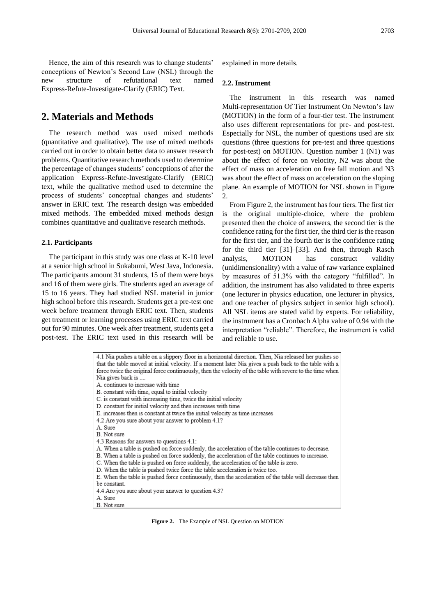Hence, the aim of this research was to change students' conceptions of Newton's Second Law (NSL) through the new structure of refutational text named Express-Refute-Investigate-Clarify (ERIC) Text.

## **2. Materials and Methods**

The research method was used mixed methods (quantitative and qualitative). The use of mixed methods carried out in order to obtain better data to answer research problems. Quantitative research methods used to determine the percentage of changes students' conceptions of after the application Express-Refute-Investigate-Clarify (ERIC) text, while the qualitative method used to determine the process of students' conceptual changes and students' answer in ERIC text. The research design was embedded mixed methods. The embedded mixed methods design combines quantitative and qualitative research methods.

#### **2.1. Participants**

The participant in this study was one class at K-10 level at a senior high school in Sukabumi, West Java, Indonesia. The participants amount 31 students, 15 of them were boys and 16 of them were girls. The students aged an average of 15 to 16 years. They had studied NSL material in junior high school before this research. Students get a pre-test one week before treatment through ERIC text. Then, students get treatment or learning processes using ERIC text carried out for 90 minutes. One week after treatment, students get a post-test. The ERIC text used in this research will be

explained in more details.

#### **2.2. Instrument**

The instrument in this research was named Multi-representation Of Tier Instrument On Newton's law (MOTION) in the form of a four-tier test. The instrument also uses different representations for pre- and post-test. Especially for NSL, the number of questions used are six questions (three questions for pre-test and three questions for post-test) on MOTION. Question number 1 (N1) was about the effect of force on velocity, N2 was about the effect of mass on acceleration on free fall motion and N3 was about the effect of mass on acceleration on the sloping plane. An example of MOTION for NSL shown in Figure 2.

From Figure 2, the instrument has four tiers. The first tier is the original multiple-choice, where the problem presented then the choice of answers, the second tier is the confidence rating for the first tier, the third tier is the reason for the first tier, and the fourth tier is the confidence rating for the third tier [31]–[33]. And then, through Rasch analysis, MOTION has construct validity (unidimensionality) with a value of raw variance explained by measures of 51.3% with the category "fulfilled". In addition, the instrument has also validated to three experts (one lecturer in physics education, one lecturer in physics, and one teacher of physics subject in senior high school). All NSL items are stated valid by experts. For reliability, the instrument has a Cronbach Alpha value of 0.94 with the interpretation "reliable". Therefore, the instrument is valid and reliable to use.

| 4.1 Nia pushes a table on a slippery floor in a horizontal direction. Then, Nia released her pushes so<br>that the table moved at initial velocity. If a moment later Nia gives a push back to the table with a |
|-----------------------------------------------------------------------------------------------------------------------------------------------------------------------------------------------------------------|
| force twice the original force continuously, then the velocity of the table with revere to the time when                                                                                                        |
| Nia gives back is                                                                                                                                                                                               |
| A. continues to increase with time                                                                                                                                                                              |
| B. constant with time, equal to initial velocity                                                                                                                                                                |
| C. is constant with increasing time, twice the initial velocity                                                                                                                                                 |
| D. constant for initial velocity and then increases with time                                                                                                                                                   |
| E. increases then is constant at twice the initial velocity as time increases                                                                                                                                   |
| 4.2 Are you sure about your answer to problem 4.1?                                                                                                                                                              |
| A. Sure                                                                                                                                                                                                         |
| B. Not sure                                                                                                                                                                                                     |
| 4.3 Reasons for answers to questions 4.1:                                                                                                                                                                       |
| A. When a table is pushed on force suddenly, the acceleration of the table continues to decrease.                                                                                                               |
| B. When a table is pushed on force suddenly, the acceleration of the table continues to increase.                                                                                                               |
| C. When the table is pushed on force suddenly, the acceleration of the table is zero.                                                                                                                           |
| D. When the table is pushed twice force the table acceleration is twice too.                                                                                                                                    |
| E. When the table is pushed force continuously, then the acceleration of the table will decrease then                                                                                                           |
| be constant.                                                                                                                                                                                                    |
| 4.4 Are you sure about your answer to question 4.3?                                                                                                                                                             |
| A. Sure                                                                                                                                                                                                         |
| B. Not sure                                                                                                                                                                                                     |

**Figure 2.** The Example of NSL Question on MOTION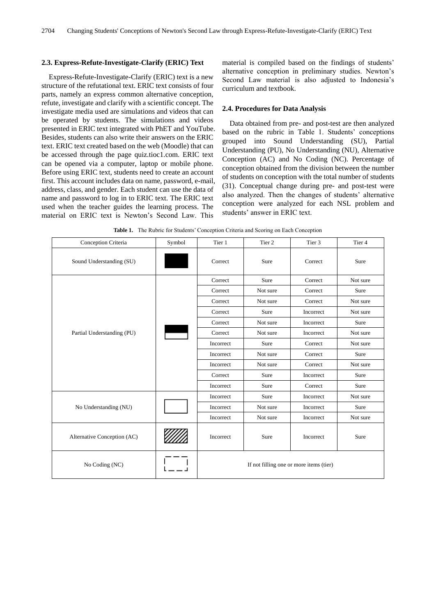#### **2.3. Express-Refute-Investigate-Clarify (ERIC) Text**

Express-Refute-Investigate-Clarify (ERIC) text is a new structure of the refutational text. ERIC text consists of four parts, namely an express common alternative conception, refute, investigate and clarify with a scientific concept. The investigate media used are simulations and videos that can be operated by students. The simulations and videos presented in ERIC text integrated with PhET and YouTube. Besides, students can also write their answers on the ERIC text. ERIC text created based on the web (Moodle) that can be accessed through the page quiz.tioc1.com. ERIC text can be opened via a computer, laptop or mobile phone. Before using ERIC text, students need to create an account first. This account includes data on name, password, e-mail, address, class, and gender. Each student can use the data of name and password to log in to ERIC text. The ERIC text used when the teacher guides the learning process. The material on ERIC text is Newton's Second Law. This

material is compiled based on the findings of students' alternative conception in preliminary studies. Newton's Second Law material is also adjusted to Indonesia's curriculum and textbook.

#### **2.4. Procedures for Data Analysis**

Data obtained from pre- and post-test are then analyzed based on the rubric in Table 1. Students' conceptions grouped into Sound Understanding (SU), Partial Understanding (PU), No Understanding (NU), Alternative Conception (AC) and No Coding (NC). Percentage of conception obtained from the division between the number of students on conception with the total number of students (31). Conceptual change during pre- and post-test were also analyzed. Then the changes of students' alternative conception were analyzed for each NSL problem and students' answer in ERIC text.

Conception Criteria Symbol Tier 1 Tier 2 Tier 3 Tier 4 Sound Understanding (SU) Sure Sure Correct Sure Correct Sure Correct Sure Partial Understanding (PU) Correct Sure Correct Not sure Correct Not sure Correct Sure Correct Not sure Correct Not sure Correct Sure Incorrect Not sure Correct Not sure Incorrect Sure Correct Not sure Incorrect Not sure Incorrect Sure Correct Not sure Incorrect Not sure Correct Sure Incorrect Not sure Correct Not sure Correct Sure Incorrect Sure Incorrect Sure Correct Sure No Understanding (NU) Incorrect Sure Incorrect Not sure Incorrect Not sure Incorrect Sure Incorrect Not sure Incorrect Not sure Alternative Conception (AC)  $\frac{1}{2}$  Incorrect Sure Incorrect Sure No Coding (NC) **If not filling one or more items (tier)** 

**Table 1.** The Rubric for Students' Conception Criteria and Scoring on Each Conception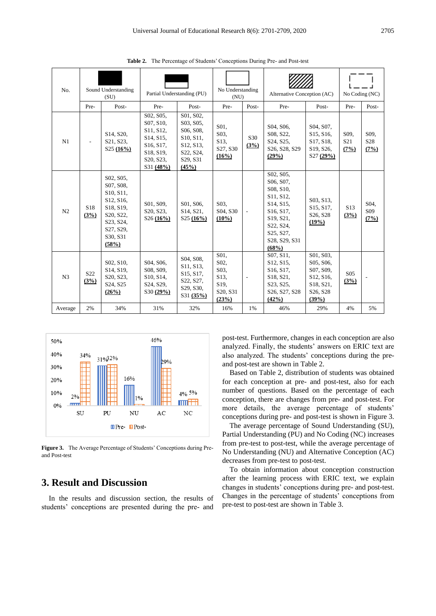| No.            | Sound Understanding<br>(SU) |                                                                                                                                                   | Partial Understanding (PU)                                                                                                                               |                                                                                                 | No Understanding<br>(NU)                                                                       |                         | Alternative Conception (AC)                                                                                                                                                                     |                                                                                                             | No Coding (NC)                               |                                              |
|----------------|-----------------------------|---------------------------------------------------------------------------------------------------------------------------------------------------|----------------------------------------------------------------------------------------------------------------------------------------------------------|-------------------------------------------------------------------------------------------------|------------------------------------------------------------------------------------------------|-------------------------|-------------------------------------------------------------------------------------------------------------------------------------------------------------------------------------------------|-------------------------------------------------------------------------------------------------------------|----------------------------------------------|----------------------------------------------|
|                | Pre-                        | Post-                                                                                                                                             | Pre-                                                                                                                                                     | Post-                                                                                           | Pre-                                                                                           | Post-                   | Pre-                                                                                                                                                                                            | Post-                                                                                                       | Pre-                                         | Post-                                        |
| N1             |                             | S <sub>14</sub> , S <sub>20</sub> ,<br>S <sub>21</sub> , S <sub>23</sub> ,<br>S25(16%)                                                            | S02, S05,<br>S07, S10,<br>S11, S12,<br>S <sub>14</sub> , S <sub>15</sub> ,<br>S16, S17,<br>S18, S19,<br>S <sub>20</sub> , S <sub>23</sub> ,<br>S31 (48%) | S01, S02,<br>S03, S05,<br>S06, S08,<br>S10, S11,<br>S12, S13,<br>S22, S24,<br>S29, S31<br>(45%) | S01.<br>S03,<br>S <sub>13</sub> .<br>S27, S30<br>(16%)                                         | S <sub>30</sub><br>(3%) | S04, S06,<br>S08, S22,<br>S24, S25,<br>S26, S28, S29<br>(29%)                                                                                                                                   | S04, S07,<br>S15, S16,<br>S17, S18,<br>S19, S26,<br>S27 (29%)                                               | S <sub>09</sub> .<br>S <sub>21</sub><br>(7%) | S <sub>09</sub> .<br>S <sub>28</sub><br>(7%) |
| N <sub>2</sub> | S <sub>18</sub><br>(3%)     | S02, S05,<br>S07, S08,<br>S10, S11,<br>S <sub>12</sub> , S <sub>16</sub><br>S18, S19,<br>S20, S22,<br>S23, S24,<br>S27, S29,<br>S30, S31<br>(58%) | S01, S09,<br>S20, S23,<br>S26(16%)                                                                                                                       | S01, S06,<br>S <sub>14</sub> , S <sub>21</sub> ,<br>S25 (16%)                                   | S03.<br>S04, S30<br>$(10\%)$                                                                   |                         | S02, S05,<br>S06, S07,<br>S08, S10.<br>S11, S12,<br>S <sub>14</sub> , S <sub>15</sub> ,<br>S <sub>16</sub> , S <sub>17</sub> ,<br>S19, S21,<br>S22, S24,<br>S25, S27,<br>S28, S29, S31<br>(68%) | S03, S13,<br>S15, S17,<br>S26, S28<br>(19%)                                                                 | S <sub>13</sub><br>(3%)                      | S04.<br>S <sub>09</sub><br>(7%)              |
| N <sub>3</sub> | S <sub>22</sub><br>(3%)     | S02, S10,<br>S <sub>14</sub> , S <sub>19</sub> ,<br>S <sub>20</sub> , S <sub>23</sub> ,<br>S <sub>24</sub> , S <sub>25</sub><br>(26%)             | S04, S06,<br>S08, S09,<br>S10, S14,<br>S24, S29,<br>S30(29%)                                                                                             | S04, S08,<br>S11, S13,<br>S15, S17,<br>S22, S27,<br>S29, S30,<br>S31 (35%)                      | S01.<br>S <sub>02</sub> .<br>S03.<br>S <sub>13</sub> .<br>S <sub>19</sub><br>S20, S31<br>(23%) |                         | S07, S11,<br>S <sub>12</sub> , S <sub>15</sub> ,<br>S <sub>16</sub> , S <sub>17</sub> ,<br>S18, S21,<br>S23, S25,<br>S26, S27, S28<br>(42%)                                                     | S01, S03,<br>S05, S06,<br>S07, S09,<br>S12, S16,<br>S18, S21,<br>S <sub>26</sub> , S <sub>28</sub><br>(39%) | S <sub>05</sub><br>(3%)                      |                                              |
| Average        | 2%                          | 34%                                                                                                                                               | 31%                                                                                                                                                      | 32%                                                                                             | 16%                                                                                            | 1%                      | 46%                                                                                                                                                                                             | 29%                                                                                                         | 4%                                           | 5%                                           |

**Table 2.** The Percentage of Students' Conceptions During Pre- and Post-test



**Figure 3.** The Average Percentage of Students' Conceptions during Preand Post-test

# **3. Result and Discussion**

In the results and discussion section, the results of students' conceptions are presented during the pre- and

post-test. Furthermore, changes in each conception are also analyzed. Finally, the students' answers on ERIC text are also analyzed. The students' conceptions during the preand post-test are shown in Table 2.

Based on Table 2, distribution of students was obtained for each conception at pre- and post-test, also for each number of questions. Based on the percentage of each conception, there are changes from pre- and post-test. For more details, the average percentage of students' conceptions during pre- and post-test is shown in Figure 3.

The average percentage of Sound Understanding (SU), Partial Understanding (PU) and No Coding (NC) increases from pre-test to post-test, while the average percentage of No Understanding (NU) and Alternative Conception (AC) decreases from pre-test to post-test.

To obtain information about conception construction after the learning process with ERIC text, we explain changes in students' conceptions during pre- and post-test. Changes in the percentage of students' conceptions from pre-test to post-test are shown in Table 3.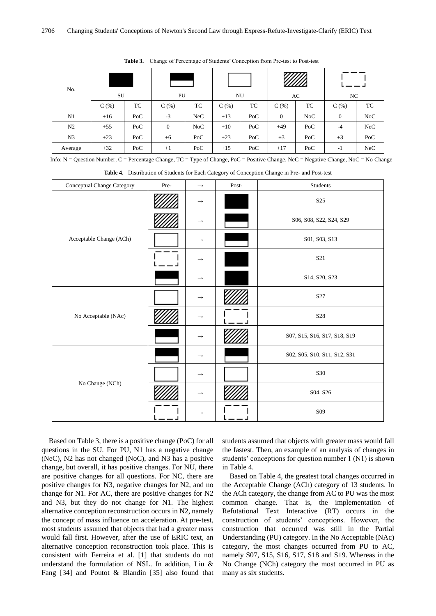| No.            | SU      |     | PU           |            | NU      |     | AC           |     | NC             |     |
|----------------|---------|-----|--------------|------------|---------|-----|--------------|-----|----------------|-----|
|                | $C($ %) | TC  | $C$ (%)      | TC         | $C$ (%) | TC  | C(% )        | TC  | C(%)           | TC  |
| N1             | $+16$   | PoC | $-3$         | <b>NeC</b> | $+13$   | PoC | $\mathbf{0}$ | NoC | $\overline{0}$ | NoC |
| N <sub>2</sub> | $+55$   | PoC | $\mathbf{0}$ | NoC        | $+10$   | PoC | $+49$        | PoC | $-4$           | NeC |
| N <sub>3</sub> | $+23$   | PoC | $+6$         | PoC        | $+23$   | PoC | $+3$         | PoC | $+3$           | PoC |
| Average        | $+32$   | PoC | $+1$         | PoC        | $+15$   | PoC | $+17$        | PoC | $-1$           | NeC |

**Table 3.** Change of Percentage of Students' Conception from Pre-test to Post-test

Info: N = Question Number, C = Percentage Change, TC = Type of Change, PoC = Positive Change, NeC = Negative Change, NoC = No Change

**Table 4.** Distribution of Students for Each Category of Conception Change in Pre- and Post-test

| Conceptual Change Category | Pre- | $\longrightarrow$ | Post- | Students                     |
|----------------------------|------|-------------------|-------|------------------------------|
|                            |      | $\rightarrow$     |       | S <sub>25</sub>              |
|                            |      | $\rightarrow$     |       | S06, S08, S22, S24, S29      |
| Acceptable Change (ACh)    |      | $\rightarrow$     |       | S01, S03, S13                |
|                            |      | $\rightarrow$     |       | S21                          |
|                            |      | $\longrightarrow$ |       | S14, S20, S23                |
|                            |      | $\rightarrow$     |       | S27                          |
| No Acceptable (NAc)        |      | $\longrightarrow$ |       | S28                          |
|                            |      | $\rightarrow$     |       | S07, S15, S16, S17, S18, S19 |
|                            |      | $\rightarrow$     |       | S02, S05, S10, S11, S12, S31 |
|                            |      | $\rightarrow$     |       | S30                          |
| No Change (NCh)            |      | $\longrightarrow$ |       | S04, S26                     |
|                            |      | $\rightarrow$     |       | S09                          |

Based on Table 3, there is a positive change (PoC) for all questions in the SU. For PU, N1 has a negative change (NeC), N2 has not changed (NoC), and N3 has a positive change, but overall, it has positive changes. For NU, there are positive changes for all questions. For NC, there are positive changes for N3, negative changes for N2, and no change for N1. For AC, there are positive changes for N2 and N3, but they do not change for N1. The highest alternative conception reconstruction occurs in N2, namely the concept of mass influence on acceleration. At pre-test, most students assumed that objects that had a greater mass would fall first. However, after the use of ERIC text, an alternative conception reconstruction took place. This is consistent with Ferreira et al. [1] that students do not understand the formulation of NSL. In addition, Liu & Fang [34] and Poutot & Blandin [35] also found that

students assumed that objects with greater mass would fall the fastest. Then, an example of an analysis of changes in students' conceptions for question number 1 (N1) is shown in Table 4.

Based on Table 4, the greatest total changes occurred in the Acceptable Change (ACh) category of 13 students. In the ACh category, the change from AC to PU was the most common change. That is, the implementation of Refutational Text Interactive (RT) occurs in the construction of students' conceptions. However, the construction that occurred was still in the Partial Understanding (PU) category. In the No Acceptable (NAc) category, the most changes occurred from PU to AC, namely S07, S15, S16, S17, S18 and S19. Whereas in the No Change (NCh) category the most occurred in PU as many as six students.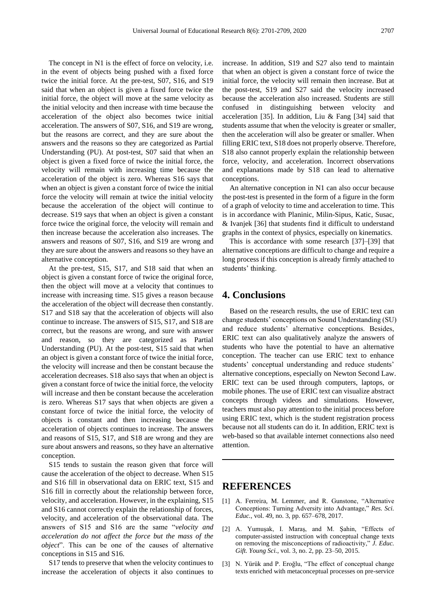The concept in N1 is the effect of force on velocity, i.e. in the event of objects being pushed with a fixed force twice the initial force. At the pre-test, S07, S16, and S19 said that when an object is given a fixed force twice the initial force, the object will move at the same velocity as the initial velocity and then increase with time because the acceleration of the object also becomes twice initial acceleration. The answers of S07, S16, and S19 are wrong, but the reasons are correct, and they are sure about the answers and the reasons so they are categorized as Partial Understanding (PU). At post-test, S07 said that when an object is given a fixed force of twice the initial force, the velocity will remain with increasing time because the acceleration of the object is zero. Whereas S16 says that when an object is given a constant force of twice the initial force the velocity will remain at twice the initial velocity because the acceleration of the object will continue to decrease. S19 says that when an object is given a constant force twice the original force, the velocity will remain and then increase because the acceleration also increases. The answers and reasons of S07, S16, and S19 are wrong and they are sure about the answers and reasons so they have an alternative conception.

At the pre-test, S15, S17, and S18 said that when an object is given a constant force of twice the original force, then the object will move at a velocity that continues to increase with increasing time. S15 gives a reason because the acceleration of the object will decrease then constantly. S17 and S18 say that the acceleration of objects will also continue to increase. The answers of S15, S17, and S18 are correct, but the reasons are wrong, and sure with answer and reason, so they are categorized as Partial Understanding (PU). At the post-test, S15 said that when an object is given a constant force of twice the initial force, the velocity will increase and then be constant because the acceleration decreases. S18 also says that when an object is given a constant force of twice the initial force, the velocity will increase and then be constant because the acceleration is zero. Whereas S17 says that when objects are given a constant force of twice the initial force, the velocity of objects is constant and then increasing because the acceleration of objects continues to increase. The answers and reasons of S15, S17, and S18 are wrong and they are sure about answers and reasons, so they have an alternative conception.

S15 tends to sustain the reason given that force will cause the acceleration of the object to decrease. When S15 and S16 fill in observational data on ERIC text, S15 and S16 fill in correctly about the relationship between force, velocity, and acceleration. However, in the explaining, S15 and S16 cannot correctly explain the relationship of forces, velocity, and acceleration of the observational data. The answers of S15 and S16 are the same "*velocity and acceleration do not affect the force but the mass of the object*". This can be one of the causes of alternative conceptions in S15 and S16.

S17 tends to preserve that when the velocity continues to increase the acceleration of objects it also continues to increase. In addition, S19 and S27 also tend to maintain that when an object is given a constant force of twice the initial force, the velocity will remain then increase. But at the post-test, S19 and S27 said the velocity increased because the acceleration also increased. Students are still confused in distinguishing between velocity and acceleration [35]. In addition, Liu & Fang [34] said that students assume that when the velocity is greater or smaller, then the acceleration will also be greater or smaller. When filling ERIC text, S18 does not properly observe. Therefore, S18 also cannot properly explain the relationship between force, velocity, and acceleration. Incorrect observations and explanations made by S18 can lead to alternative conceptions.

An alternative conception in N1 can also occur because the post-test is presented in the form of a figure in the form of a graph of velocity to time and acceleration to time. This is in accordance with Planinic, Milin-Sipus, Katic, Susac, & Ivanjek [36] that students find it difficult to understand graphs in the context of physics, especially on kinematics.

This is accordance with some research [37]–[39] that alternative conceptions are difficult to change and require a long process if this conception is already firmly attached to students' thinking.

## **4. Conclusions**

Based on the research results, the use of ERIC text can change students' conceptions on Sound Understanding (SU) and reduce students' alternative conceptions. Besides, ERIC text can also qualitatively analyze the answers of students who have the potential to have an alternative conception. The teacher can use ERIC text to enhance students' conceptual understanding and reduce students' alternative conceptions, especially on Newton Second Law. ERIC text can be used through computers, laptops, or mobile phones. The use of ERIC text can visualize abstract concepts through videos and simulations. However, teachers must also pay attention to the initial process before using ERIC text, which is the student registration process because not all students can do it. In addition, ERIC text is web-based so that available internet connections also need attention.

## **REFERENCES**

- [1] A. Ferreira, M. Lemmer, and R. Gunstone, "Alternative Conceptions: Turning Adversity into Advantage," *Res. Sci. Educ.*, vol. 49, no. 3, pp. 657–678, 2017.
- [2] A. Yumuşak, I. Maraş, and M. Şahin, "Effects of computer-assisted instruction with conceptual change texts on removing the misconceptions of radioactivity," *J. Educ. Gift. Young Sci.*, vol. 3, no. 2, pp. 23–50, 2015.
- [3] N. Yürük and P. Eroğlu, "The effect of conceptual change texts enriched with metaconceptual processes on pre-service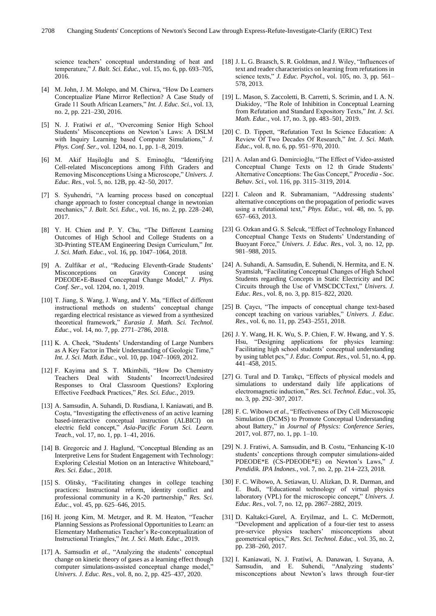science teachers' conceptual understanding of heat and temperature," *J. Balt. Sci. Educ.*, vol. 15, no. 6, pp. 693–705, 2016.

- [4] M. John, J. M. Molepo, and M. Chirwa, "How Do Learners" Conceptualize Plane Mirror Reflection? A Case Study of Grade 11 South African Learners," *Int. J. Educ. Sci.*, vol. 13, no. 2, pp. 221–230, 2016.
- [5] N. J. Fratiwi *et al.*, "Overcoming Senior High School Students' Misconceptions on Newton's Laws: A DSLM with Inquiry Learning based Computer Simulations," *J. Phys. Conf. Ser.*, vol. 1204, no. 1, pp. 1–8, 2019.
- [6] M. Akif Haşiloğlu and S. Eminoğlu, "Identifying Cell-related Misconceptions among Fifth Graders and Removing Misconceptions Using a Microscope," *Univers. J. Educ. Res.*, vol. 5, no. 12B, pp. 42–50, 2017.
- [7] S. Syuhendri, "A learning process based on conceptual change approach to foster conceptual change in newtonian mechanics," *J. Balt. Sci. Educ.*, vol. 16, no. 2, pp. 228–240, 2017.
- [8] Y. H. Chien and P. Y. Chu, "The Different Learning Outcomes of High School and College Students on a 3D-Printing STEAM Engineering Design Curriculum," *Int. J. Sci. Math. Educ.*, vol. 16, pp. 1047–1064, 2018.
- [9] A. Zulfikar *et al.*, "Reducing Eleventh-Grade Students' Misconceptions on Gravity Concept using PDEODE∗E-Based Conceptual Change Model," *J. Phys. Conf. Ser.*, vol. 1204, no. 1, 2019.
- [10] T. Jiang, S. Wang, J. Wang, and Y. Ma, "Effect of different instructional methods on students' conceptual change regarding electrical resistance as viewed from a synthesized theoretical framework," *Eurasia J. Math. Sci. Technol. Educ.*, vol. 14, no. 7, pp. 2771–2786, 2018.
- [11] K. A. Cheek, "Students' Understanding of Large Numbers as A Key Factor in Their Understanding of Geologic Time," *Int. J. Sci. Math. Educ.*, vol. 10, pp. 1047–1069, 2012.
- [12] F. Kayima and S. T. Mkimbili, "How Do Chemistry Teachers Deal with Students' Incorrect/Undesired Responses to Oral Classroom Questions? Exploring Effective Feedback Practices," *Res. Sci. Educ.*, 2019.
- [13] A. Samsudin, A. Suhandi, D. Rusdiana, I. Kaniawati, and B. Coştu, "Investigating the effectiveness of an active learning based-interactive conceptual instruction (ALBICI) on electric field concept," *Asia-Pacific Forum Sci. Learn. Teach.*, vol. 17, no. 1, pp. 1–41, 2016.
- [14] B. Gregorcic and J. Haglund, "Conceptual Blending as an Interpretive Lens for Student Engagement with Technology: Exploring Celestial Motion on an Interactive Whiteboard," *Res. Sci. Educ.*, 2018.
- [15] S. Olitsky, "Facilitating changes in college teaching practices: Instructional reform, identity conflict and professional community in a K-20 partnership," *Res. Sci. Educ.*, vol. 45, pp. 625–646, 2015.
- [16] H. jeong Kim, M. Metzger, and R. M. Heaton, "Teacher Planning Sessions as Professional Opportunities to Learn: an Elementary Mathematics Teacher's Re-conceptualization of Instructional Triangles," *Int. J. Sci. Math. Educ.*, 2019.
- [17] A. Samsudin *et al.*, "Analyzing the students' conceptual change on kinetic theory of gases as a learning effect though computer simulations-assisted conceptual change model,' *Univers. J. Educ. Res.*, vol. 8, no. 2, pp. 425–437, 2020.
- [18] J. L. G. Braasch, S. R. Goldman, and J. Wiley, "Influences of text and reader characteristics on learning from refutations in science texts," *J. Educ. Psychol.*, vol. 105, no. 3, pp. 561– 578, 2013.
- [19] L. Mason, S. Zaccoletti, B. Carretti, S. Scrimin, and I. A. N. Diakidoy, "The Role of Inhibition in Conceptual Learning from Refutation and Standard Expository Texts," *Int. J. Sci. Math. Educ.*, vol. 17, no. 3, pp. 483–501, 2019.
- [20] C. D. Tippett, "Refutation Text In Science Education: A Review Of Two Decades Of Research," *Int. J. Sci. Math. Educ.*, vol. 8, no. 6, pp. 951–970, 2010.
- [21] A. Aslan and G. Demircioğlu, "The Effect of Video-assisted Conceptual Change Texts on 12 th Grade Students' Alternative Conceptions: The Gas Concept," *Procedia - Soc. Behav. Sci.*, vol. 116, pp. 3115–3119, 2014.
- [22] I. Caleon and R. Subramaniam, "Addressing students' alternative conceptions on the propagation of periodic waves using a refutational text," *Phys. Educ.*, vol. 48, no. 5, pp. 657–663, 2013.
- [23] G. Ozkan and G. S. Selcuk, "Effect of Technology Enhanced Conceptual Change Texts on Students' Understanding of Buoyant Force," *Univers. J. Educ. Res.*, vol. 3, no. 12, pp. 981–988, 2015.
- [24] A. Suhandi, A. Samsudin, E. Suhendi, N. Hermita, and E. N. Syamsiah, "Facilitating Conceptual Changes of High School Students regarding Concepts in Static Electricity and DC Circuits through the Use of VMSCDCCText," *Univers. J. Educ. Res.*, vol. 8, no. 3, pp. 815–822, 2020.
- [25] B. Çaycı, "The impacts of conceptual change text-based concept teaching on various variables," *Univers. J. Educ. Res.*, vol. 6, no. 11, pp. 2543–2551, 2018.
- [26] J. Y. Wang, H. K. Wu, S. P. Chien, F. W. Hwang, and Y. S. Hsu, "Designing applications for physics learning: Facilitating high school students' conceptual understanding by using tablet pcs," *J. Educ. Comput. Res.*, vol. 51, no. 4, pp. 441–458, 2015.
- [27] G. Tural and D. Tarakçı, "Effects of physical models and simulations to understand daily life applications of electromagnetic induction," *Res. Sci. Technol. Educ.*, vol. 35, no. 3, pp. 292–307, 2017.
- [28] F. C. Wibowo *et al.*, "Effectiveness of Dry Cell Microscopic Simulation (DCMS) to Promote Conceptual Understanding about Battery," in *Journal of Physics: Conference Series*, 2017, vol. 877, no. 1, pp. 1–10.
- [29] N. J. Fratiwi, A. Samsudin, and B. Costu, "Enhancing K-10 students' conceptions through computer simulations-aided PDEODE\*E (CS-PDEODE\*E) on Newton's Laws," *J. Pendidik. IPA Indones.*, vol. 7, no. 2, pp. 214–223, 2018.
- [30] F. C. Wibowo, A. Setiawan, U. Alizkan, D. R. Darman, and E. Budi, "Educational technology of virtual physics laboratory (VPL) for the microscopic concept," *Univers. J. Educ. Res.*, vol. 7, no. 12, pp. 2867–2882, 2019.
- [31] D. Kaltakci-Gurel, A. Eryilmaz, and L. C. McDermott, "Development and application of a four-tier test to assess pre-service physics teachers' misconceptions about geometrical optics," *Res. Sci. Technol. Educ.*, vol. 35, no. 2, pp. 238–260, 2017.
- [32] I. Kaniawati, N. J. Fratiwi, A. Danawan, I. Suyana, A. Samsudin, and E. Suhendi, "Analyzing students' misconceptions about Newton's laws through four-tier